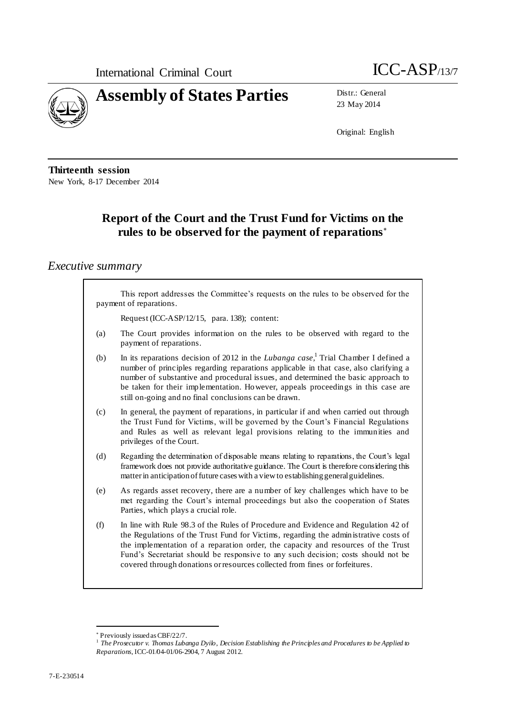



23 May 2014

Original: English

**Thirteenth session** New York, 8-17 December 2014

# **Report of the Court and the Trust Fund for Victims on the rules to be observed for the payment of reparations**

### *Executive summary*

|     | This report addresses the Committee's requests on the rules to be observed for the<br>payment of reparations.                                                                                                                                                                                                                                                                                                                       |
|-----|-------------------------------------------------------------------------------------------------------------------------------------------------------------------------------------------------------------------------------------------------------------------------------------------------------------------------------------------------------------------------------------------------------------------------------------|
|     | Request (ICC-ASP/12/15, para. 138); content:                                                                                                                                                                                                                                                                                                                                                                                        |
| (a) | The Court provides information on the rules to be observed with regard to the<br>payment of reparations.                                                                                                                                                                                                                                                                                                                            |
| (b) | In its reparations decision of 2012 in the <i>Lubanga case</i> , <sup>1</sup> Trial Chamber I defined a<br>number of principles regarding reparations applicable in that case, also clarifying a<br>number of substantive and procedural issues, and determined the basic approach to<br>be taken for their implementation. However, appeals proceedings in this case are<br>still on-going and no final conclusions can be drawn.  |
| (c) | In general, the payment of reparations, in particular if and when carried out through<br>the Trust Fund for Victims, will be governed by the Court's Financial Regulations<br>and Rules as well as relevant legal provisions relating to the immunities and<br>privileges of the Court.                                                                                                                                             |
| (d) | Regarding the determination of disposable means relating to reparations, the Court's legal<br>framework does not provide authoritative guidance. The Court is therefore considering this<br>matter in anticipation of future cases with a view to establishing general guidelines.                                                                                                                                                  |
| (e) | As regards asset recovery, there are a number of key challenges which have to be<br>met regarding the Court's internal proceedings but also the cooperation of States<br>Parties, which plays a crucial role.                                                                                                                                                                                                                       |
| (f) | In line with Rule 98.3 of the Rules of Procedure and Evidence and Regulation 42 of<br>the Regulations of the Trust Fund for Victims, regarding the administrative costs of<br>the implementation of a reparation order, the capacity and resources of the Trust<br>Fund's Secretariat should be responsive to any such decision; costs should not be<br>covered through donations or resources collected from fines or forfeitures. |

 Previously issued as CBF/22/7. 1 *The Prosecutor v. Thomas Lubanga Dyilo*, *Decision Establishing the Principles and Procedures to be Applied to Reparations*, ICC-01/04-01/06-2904, 7 August 2012.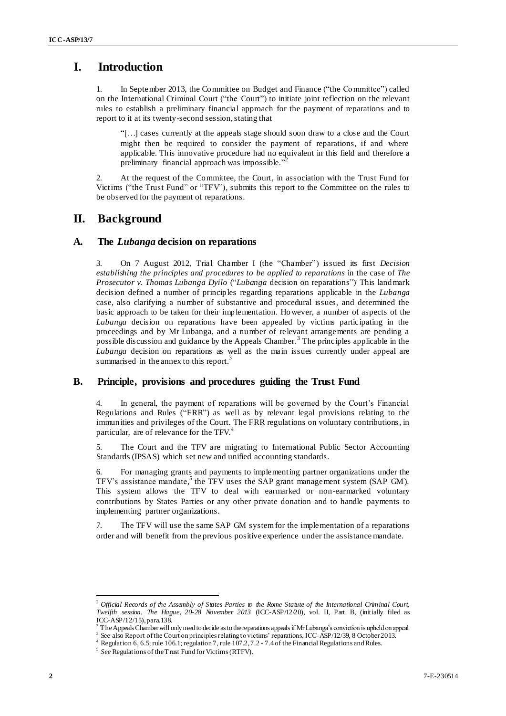### **I. Introduction**

1. In September 2013, the Committee on Budget and Finance ("the Committee") called on the International Criminal Court ("the Court") to initiate joint reflection on the relevant rules to establish a preliminary financial approach for the payment of reparations and to report to it at its twenty-second session, stating that

"[…] cases currently at the appeals stage should soon draw to a close and the Court might then be required to consider the payment of reparations, if and where applicable. This innovative procedure had no equivalent in this field and therefore a preliminary financial approach was impossible." 2

2. At the request of the Committee, the Court, in association with the Trust Fund for Victims ("the Trust Fund" or "TFV"), submits this report to the Committee on the rules to be observed for the payment of reparations.

### **II. Background**

#### **A. The** *Lubanga* **decision on reparations**

3. On 7 August 2012, Trial Chamber I (the "Chamber") issued its first *Decision establishing the principles and procedures to be applied to reparations* in the case of *The Prosecutor v. Thomas Lubanga Dyilo* ("*Lubanga* decision on reparations"). This landmark decision defined a number of principles regarding reparations applicable in the *Lubanga*  case, also clarifying a number of substantive and procedural issues, and determined the basic approach to be taken for their implementation. However, a number of aspects of the *Lubanga* decision on reparations have been appealed by victims participating in the proceedings and by Mr Lubanga, and a number of relevant arrangements are pending a possible discussion and guidance by the Appeals Chamber.<sup>3</sup> The principles applicable in the *Lubanga* decision on reparations as well as the main issues currently under appeal are summarised in the annex to this report.<sup>3</sup>

#### **B. Principle, provisions and procedures guiding the Trust Fund**

4. In general, the payment of reparations will be governed by the Court's Financial Regulations and Rules ("FRR") as well as by relevant legal provisions relating to the immunities and privileges of the Court. The FRR regulations on voluntary contributions, in particular, are of relevance for the TFV.<sup>4</sup>

5. The Court and the TFV are migrating to International Public Sector Accounting Standards (IPSAS) which set new and unified accounting standards.

6. For managing grants and payments to implementing partner organizations under the TFV's assistance mandate, 5 the TFV uses the SAP grant management system (SAP GM). This system allows the TFV to deal with earmarked or non-earmarked voluntary contributions by States Parties or any other private donation and to handle payments to implementing partner organizations.

7. The TFV will use the same SAP GM system for the implementation of a reparations order and will benefit from the previous positive experience under the assistance mandate.

 $\overline{a}$ 

<sup>2</sup> *Official Records of the Assembly of States Parties to the Rome Statute of the International Criminal Court, Twelfth session, The Hague, 20-28 November 2013* (ICC-ASP/12/20), vol. II, Part B, (initially filed as ICC-ASP/12/15), para.138.

<sup>&</sup>lt;sup>3</sup> The Appeals Chamber will only need to decide as to the reparations appeals if Mr Lubanga's conviction is upheld on appeal.

<sup>3</sup> See also Report of the Court on principles relating to victims' reparations, ICC-ASP/12/39, 8 October 2013.

<sup>&</sup>lt;sup>4</sup> Regulation 6, 6.5; rule 106.1; regulation 7, rule 107.2, 7.2 - 7.4 of the Financial Regulations and Rules.

<sup>&</sup>lt;sup>5</sup> See Regulations of the Trust Fund for Victims (RTFV).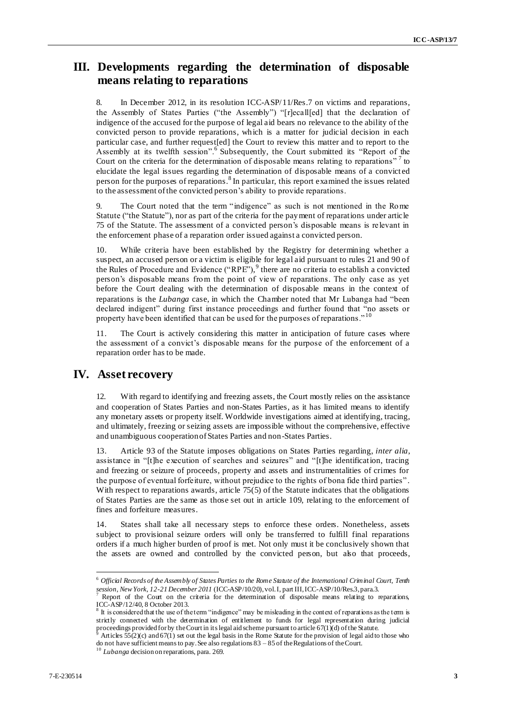### **III. Developments regarding the determination of disposable means relating to reparations**

8. In December 2012, in its resolution ICC-ASP/11/Res.7 on victims and reparations, the Assembly of States Parties ("the Assembly") "[r]ecall[ed] that the declaration of indigence of the accused for the purpose of legal aid bears no relevance to the ability of the convicted person to provide reparations, which is a matter for judicial decision in each particular case, and further request[ed] the Court to review this matter and to report to the Assembly at its twelfth session".<sup>6</sup> Subsequently, the Court submitted its "Report of the Court on the criteria for the determination of disposable means relating to reparations"<sup>7</sup> to elucidate the legal issues regarding the determination of disposable means of a convicted person for the purposes of reparations.<sup>8</sup> In particular, this report examined the issues related to the assessment of the convicted person's ability to provide reparations.

9. The Court noted that the term "indigence" as such is not mentioned in the Rome Statute ("the Statute"), nor as part of the criteria for the payment of reparations under article 75 of the Statute. The assessment of a convicted person's disposable means is relevant in the enforcement phase of a reparation order issued against a convicted person.

10. While criteria have been established by the Registry for determining whether a suspect, an accused person or a victim is eligible for legal aid pursuant to rules 21 and 90 of the Rules of Procedure and Evidence ("RPE"),<sup>9</sup> there are no criteria to establish a convicted person's disposable means from the point of view of reparations. The only case as yet before the Court dealing with the determination of disposable means in the context of reparations is the *Lubanga* case, in which the Chamber noted that Mr Lubanga had "been declared indigent" during first instance proceedings and further found that "no assets or property have been identified that can be used for the purposes of reparations." <sup>10</sup>

11. The Court is actively considering this matter in anticipation of future cases where the assessment of a convict's disposable means for the purpose of the enforcement of a reparation order has to be made.

#### **IV. Asset recovery**

12. With regard to identifying and freezing assets, the Court mostly relies on the assistance and cooperation of States Parties and non-States Parties, as it has limited means to identify any monetary assets or property itself. Worldwide investigations aimed at identifying, tracing, and ultimately, freezing or seizing assets are impossible without the comprehensive, effective and unambiguous cooperation of States Parties and non-States Parties.

13. Article 93 of the Statute imposes obligations on States Parties regarding, *inter alia*, assistance in "[t]he execution of searches and seizures" and "[t]he identification, tracing and freezing or seizure of proceeds, property and assets and instrumentalities of crimes for the purpose of eventual forfeiture, without prejudice to the rights of bona fide third parties" . With respect to reparations awards, article 75(5) of the Statute indicates that the obligations of States Parties are the same as those set out in article 109, relating to the enforcement of fines and forfeiture measures.

14. States shall take all necessary steps to enforce these orders. Nonetheless, assets subject to provisional seizure orders will only be transferred to fulfill final reparations orders if a much higher burden of proof is met. Not only must it be conclusively shown that the assets are owned and controlled by the convicted person, but also that proceeds,

 $\overline{a}$ 

<sup>6</sup> *Official Records of the Assembly of States Parties to the Rome Statute of the International Criminal Court, Tenth session, New York, 12-21 December 2011* (ICC-ASP/10/20), vol. I, part III, ICC-ASP/10/Res.3, para.3.

Report of the Court on the criteria for the determination of disposable means relating to reparations, ICC-ASP/12/40, 8 October 2013.

<sup>&</sup>lt;sup>8</sup> It is considered that the use of the term "indigence" may be misleading in the context of reparations as the term is strictly connected with the determination of entitlement to funds for legal representation during judicial proceedings provided for by the Court in its legal aid scheme pursuant to article 67(1)(d) of the Statute.

Articles  $55(2)$ (c) and  $67(1)$  set out the legal basis in the Rome Statute for the provision of legal aid to those who do not have sufficient means to pay. See also regulations 83 – 85 of the Regulations of the Court.

<sup>10</sup> *Lubanga* decision on reparations, para. 269.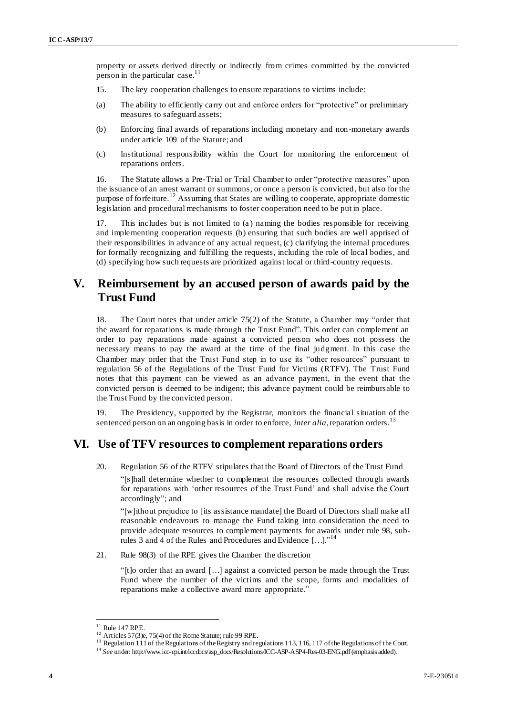property or assets derived directly or indirectly from crimes committed by the convicted person in the particular case.<sup>11</sup>

- 15. The key cooperation challenges to ensure reparations to victims include:
- (a) The ability to efficiently carry out and enforce orders for "protective" or preliminary measures to safeguard assets;
- (b) Enforcing final awards of reparations including monetary and non-monetary awards under article 109 of the Statute; and
- (c) Institutional responsibility within the Court for monitoring the enforcement of reparations orders.

16. The Statute allows a Pre-Trial or Trial Chamber to order "protective measures" upon the issuance of an arrest warrant or summons, or once a person is convicted, but also for the purpose of forfeiture.<sup>12</sup> Assuming that States are willing to cooperate, appropriate domestic legislation and procedural mechanisms to foster cooperation need to be put in place.

17. This includes but is not limited to (a ) naming the bodies responsible for receiving and implementing cooperation requests (b) ensuring that such bodies are well apprised of their responsibilities in advance of any actual request, (c) clarifying the internal procedures for formally recognizing and fulfilling the requests, including the role of local bodies, and (d) specifying how such requests are prioritized against local or third-country requests.

## **V. Reimbursement by an accused person of awards paid by the Trust Fund**

18. The Court notes that under article 75(2) of the Statute, a Chamber may "order that the award for reparations is made through the Trust Fund". This order can complement an order to pay reparations made against a convicted person who does not possess the necessary means to pay the award at the time of the final judgment. In this case the Chamber may order that the Trust Fund step in to use its "other resources" pursuant to regulation 56 of the Regulations of the Trust Fund for Victims (RTFV). The Trust Fund notes that this payment can be viewed as an advance payment, in the event that the convicted person is deemed to be indigent; this advance payment could be reimbursable to the Trust Fund by the convicted person.

The Presidency, supported by the Registrar, monitors the financial situation of the sentenced person on an ongoing basis in order to enforce, *inter alia*, reparation orders.<sup>13</sup>

### **VI. Use of TFV resources to complement reparations orders**

20. Regulation 56 of the RTFV stipulates that the Board of Directors of the Trust Fund "[s]hall determine whether to complement the resources collected through awards for reparations with 'other resources of the Trust Fund' and shall advise the Court accordingly"; and

"[w]ithout prejudice to [its assistance mandate] the Board of Directors shall make all reasonable endeavours to manage the Fund taking into consideration the need to provide adequate resources to complement payments for awards under rule 98, subrules 3 and 4 of the Rules and Procedures and Evidence [...]."<sup>14</sup>

21. Rule 98(3) of the RPE gives the Chamber the discretion

"[t]o order that an award […] against a convicted person be made through the Trust Fund where the number of the victims and the scope, forms and modalities of reparations make a collective award more appropriate."

 $\overline{a}$ 

 $11$  Rule 147 RPE.

<sup>&</sup>lt;sup>12</sup> Articles 57(3)e, 75(4) of the Rome Statute; rule 99 RPE.

<sup>&</sup>lt;sup>13</sup> Regulation 111 of the Regulations of the Registry and regulations 113, 116, 117 of the Regulations of the Court.

<sup>14</sup> *See* und[er: http://www.icc-cpi.int/iccdocs/asp\\_docs/Resolutions/ICC-ASP-ASP4-Res-03-ENG.pdf](http://www.icc-cpi.int/iccdocs/asp_docs/Resolutions/ICC-ASP-ASP4-Res-03-ENG.pdf)(emphasis added).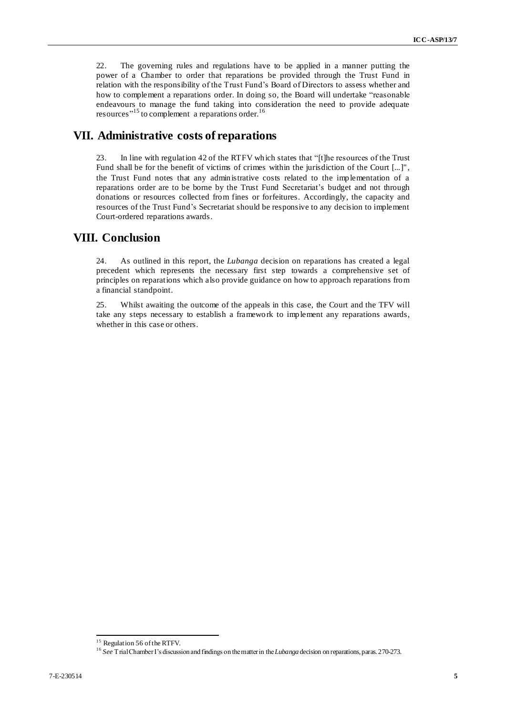22. The governing rules and regulations have to be applied in a manner putting the power of a Chamber to order that reparations be provided through the Trust Fund in relation with the responsibility of the Trust Fund's Board of Directors to assess whether and how to complement a reparations order. In doing so, the Board will undertake "reasonable endeavours to manage the fund taking into consideration the need to provide adequate resources<sup>"15</sup> to complement a reparations order.<sup>16</sup>

## **VII. Administrative costs of reparations**

23. In line with regulation 42 of the RTFV which states that "[t]he resources of the Trust Fund shall be for the benefit of victims of crimes within the jurisdiction of the Court [...]", the Trust Fund notes that any administrative costs related to the implementation of a reparations order are to be borne by the Trust Fund Secretariat's budget and not through donations or resources collected from fines or forfeitures. Accordingly, the capacity and resources of the Trust Fund's Secretariat should be responsive to any decision to implement Court-ordered reparations awards.

# **VIII. Conclusion**

24. As outlined in this report, the *Lubanga* decision on reparations has created a legal precedent which represents the necessary first step towards a comprehensive set of principles on reparations which also provide guidance on how to approach reparations from a financial standpoint.

25. Whilst awaiting the outcome of the appeals in this case, the Court and the TFV will take any steps necessary to establish a framework to implement any reparations awards, whether in this case or others.

 $\overline{a}$ <sup>15</sup> Regulation 56 of the RTFV.

<sup>16</sup> *See* Trial Chamber I's discussion and findings on the matter in the *Lubanga* decision on reparations, paras. 270-273.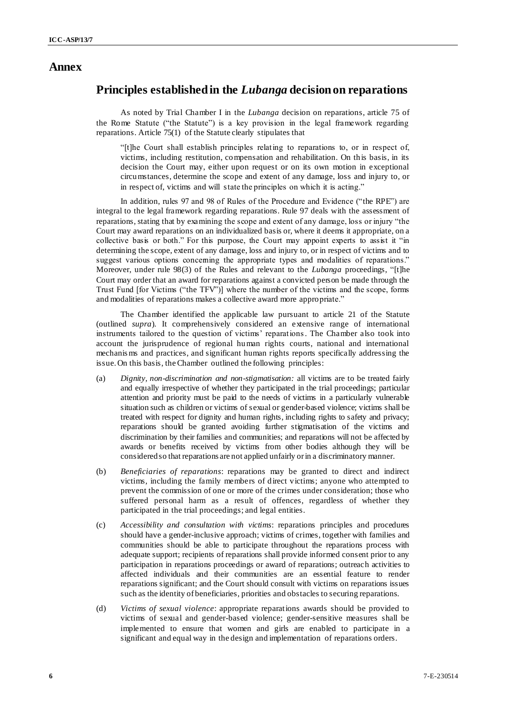#### **Annex**

### **Principles established in the** *Lubanga* **decision on reparations**

As noted by Trial Chamber I in the *Lubanga* decision on reparations, article 75 of the Rome Statute ("the Statute") is a key provision in the legal framework regarding reparations. Article 75(1) of the Statute clearly stipulates that

"[t]he Court shall establish principles relating to reparations to, or in respect of, victims, including restitution, compensation and rehabilitation. On this basis, in its decision the Court may, either upon request or on its own motion in exceptional circumstances, determine the scope and extent of any damage, loss and injury to, or in respect of, victims and will state the principles on which it is acting."

In addition, rules 97 and 98 of Rules of the Procedure and Evidence ("the RPE") are integral to the legal framework regarding reparations. Rule 97 deals with the assessment of reparations, stating that by examining the scope and extent of any damage, loss or injury "the Court may award reparations on an individualized basis or, where it deems it appropriate, on a collective basis or both." For this purpose, the Court may appoint experts to assist it "in determining the scope, extent of any damage, loss and injury to, or in respect of victims and to suggest various options concerning the appropriate types and modalities of reparations." Moreover, under rule 98(3) of the Rules and relevant to the *Lubanga* proceedings, "[t]he Court may order that an award for reparations against a convicted person be made through the Trust Fund [for Victims ("the TFV")] where the number of the victims and the scope, forms and modalities of reparations makes a collective award more appropriate."

The Chamber identified the applicable law pursuant to article 21 of the Statute (outlined *supra*). It comprehensively considered an extensive range of international instruments tailored to the question of victims' reparations. The Chamber also took into account the jurisprudence of regional human rights courts, national and international mechanis ms and practices, and significant human rights reports specifically addressing the issue.On this basis, the Chamber outlined the following principles:

- (a) *Dignity, non-discrimination and non-stigmatisation:* all victims are to be treated fairly and equally irrespective of whether they participated in the trial proceedings; particular attention and priority must be paid to the needs of victims in a particularly vulnerable situation such as children or victims of sexual or gender-based violence; victims shall be treated with respect for dignity and human rights, including rights to safety and privacy; reparations should be granted avoiding further stigmatisation of the victims and discrimination by their families and communities; and reparations will not be affected by awards or benefits received by victims from other bodies although they will be considered so that reparations are not applied unfairly or in a discriminatory manner.
- (b) *Beneficiaries of reparations*: reparations may be granted to direct and indirect victims, including the family members of direct victims; anyone who attempted to prevent the commission of one or more of the crimes under consideration; those who suffered personal harm as a result of offences, regardless of whether they participated in the trial proceedings; and legal entities.
- (c) *Accessibility and consultation with victims*: reparations principles and procedures should have a gender-inclusive approach; victims of crimes, together with families and communities should be able to participate throughout the reparations process with adequate support; recipients of reparations shall provide informed consent prior to any participation in reparations proceedings or award of reparations; outreach activities to affected individuals and their communities are an essential feature to render reparations significant; and the Court should consult with victims on reparations issues such as the identity of beneficiaries, priorities and obstacles to securing reparations.
- (d) *Victims of sexual violence*: appropriate reparations awards should be provided to victims of sexual and gender-based violence; gender-sensitive measures shall be implemented to ensure that women and girls are enabled to participate in a significant and equal way in the design and implementation of reparations orders.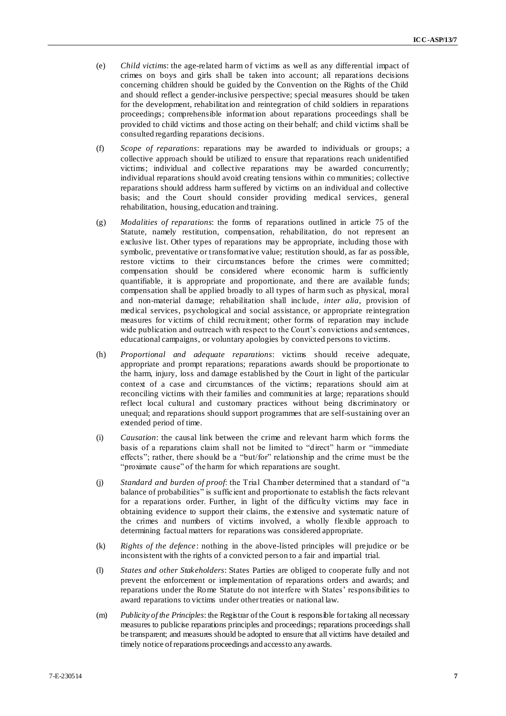- (e) *Child victims*: the age-related harm of victims as well as any differential impact of crimes on boys and girls shall be taken into account; all reparations decisions concerning children should be guided by the Convention on the Rights of the Child and should reflect a gender-inclusive perspective; special measures should be taken for the development, rehabilitation and reintegration of child soldiers in reparations proceedings; comprehensible information about reparations proceedings shall be provided to child victims and those acting on their behalf; and child victims shall be consulted regarding reparations decisions.
- (f) *Scope of reparations*: reparations may be awarded to individuals or groups; a collective approach should be utilized to ensure that reparations reach unidentified victims; individual and collective reparations may be awarded concurrently; individual reparations should avoid creating tensions within co mmunities; collective reparations should address harm suffered by victims on an individual and collective basis; and the Court should consider providing medical services, general rehabilitation, housing, education and training.
- (g) *Modalities of reparations*: the forms of reparations outlined in article 75 of the Statute, namely restitution, compensation, rehabilitation, do not represent an exclusive list. Other types of reparations may be appropriate, including those with symbolic, preventative or transformative value; restitution should, as far as possible, restore victims to their circumstances before the crimes were committed; compensation should be considered where economic harm is sufficiently quantifiable, it is appropriate and proportionate, and there are available funds; compensation shall be applied broadly to all types of harm such as physical, moral and non-material damage; rehabilitation shall include, *inter alia*, provision of medical services, psychological and social assistance, or appropriate reintegration measures for victims of child recruitment; other forms of reparation may include wide publication and outreach with respect to the Court's convictions and sentences, educational campaigns, or voluntary apologies by convicted persons to victims.
- (h) *Proportional and adequate reparations*: victims should receive adequate, appropriate and prompt reparations; reparations awards should be proportionate to the harm, injury, loss and damage established by the Court in light of the particular context of a case and circumstances of the victims; reparations should aim at reconciling victims with their families and communities at large; reparations should reflect local cultural and customary practices without being discriminatory or unequal; and reparations should support programmes that are self-sustaining over an extended period of time.
- (i) *Causation*: the causal link between the crime and relevant harm which forms the basis of a reparations claim shall not be limited to "direct" harm or "immediate effects"; rather, there should be a "but/for" relationship and the crime must be the "proximate cause" of the harm for which reparations are sought.
- (j) *Standard and burden of proof*: the Trial Chamber determined that a standard of "a balance of probabilities" is sufficient and proportionate to establish the facts relevant for a reparations order. Further, in light of the difficulty victims may face in obtaining evidence to support their claims, the extensive and systematic nature of the crimes and numbers of victims involved, a wholly flexible approach to determining factual matters for reparations was considered appropriate.
- (k) *Rights of the defence* : nothing in the above-listed principles will prejudice or be inconsistent with the rights of a convicted person to a fair and impartial trial.
- (l) *States and other Stakeholders*: States Parties are obliged to cooperate fully and not prevent the enforcement or implementation of reparations orders and awards; and reparations under the Rome Statute do not interfere with States' responsibilities to award reparations to victims under other treaties or national law.
- (m) *Publicity of the Principles*: the Registrar of the Court is responsible for taking all necessary measures to publicise reparations principles and proceedings; reparations proceedings shall be transparent; and measures should be adopted to ensure that all victims have detailed and timely notice of reparations proceedings and access to any awards.